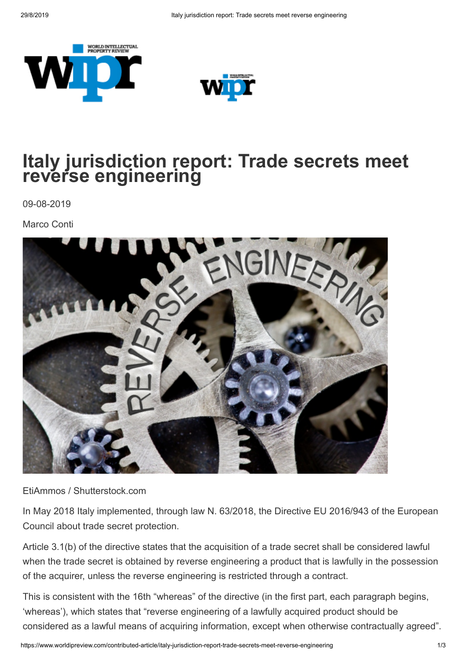



## **Italy jurisdiction report: Trade secrets meet reverse engineering**

09-08-2019

Marco Conti



EtiAmmos / Shutterstock.com

In May 2018 Italy implemented, through law N. 63/2018, the Directive EU 2016/943 of the European Council about trade secret protection.

Article 3.1(b) of the directive states that the acquisition of a trade secret shall be considered lawful when the trade secret is obtained by reverse engineering a product that is lawfully in the possession of the acquirer, unless the reverse engineering is restricted through a contract.

This is consistent with the 16th "whereas" of the directive (in the first part, each paragraph begins, 'whereas'), which states that "reverse engineering of a lawfully acquired product should be considered as a lawful means of acquiring information, except when otherwise contractually agreed".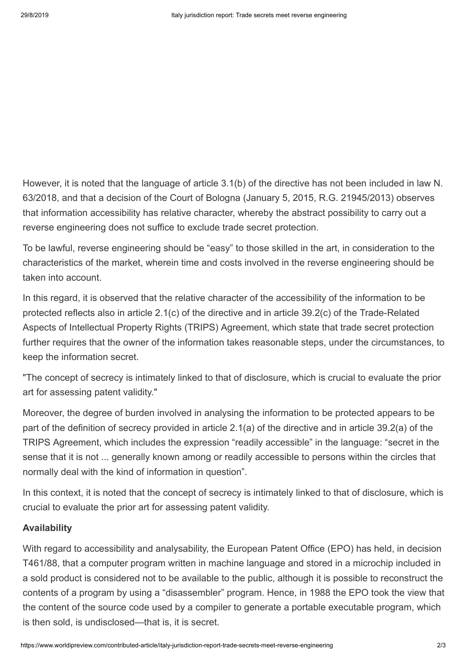However, it is noted that the language of article 3.1(b) of the directive has not been included in law N. 63/2018, and that a decision of the Court of Bologna (January 5, 2015, R.G. 21945/2013) observes that information accessibility has relative character, whereby the abstract possibility to carry out a reverse engineering does not suffice to exclude trade secret protection.

To be lawful, reverse engineering should be "easy" to those skilled in the art, in consideration to the characteristics of the market, wherein time and costs involved in the reverse engineering should be taken into account.

In this regard, it is observed that the relative character of the accessibility of the information to be protected reflects also in article 2.1(c) of the directive and in article 39.2(c) of the Trade-Related Aspects of Intellectual Property Rights (TRIPS) Agreement, which state that trade secret protection further requires that the owner of the information takes reasonable steps, under the circumstances, to keep the information secret.

"The concept of secrecy is intimately linked to that of disclosure, which is crucial to evaluate the prior art for assessing patent validity."

Moreover, the degree of burden involved in analysing the information to be protected appears to be part of the definition of secrecy provided in article 2.1(a) of the directive and in article 39.2(a) of the TRIPS Agreement, which includes the expression "readily accessible" in the language: "secret in the sense that it is not ... generally known among or readily accessible to persons within the circles that normally deal with the kind of information in question".

In this context, it is noted that the concept of secrecy is intimately linked to that of disclosure, which is crucial to evaluate the prior art for assessing patent validity.

## **Availability**

With regard to accessibility and analysability, the European Patent Office (EPO) has held, in decision T461/88, that a computer program written in machine language and stored in a microchip included in a sold product is considered not to be available to the public, although it is possible to reconstruct the contents of a program by using a "disassembler" program. Hence, in 1988 the EPO took the view that the content of the source code used by a compiler to generate a portable executable program, which is then sold, is undisclosed—that is, it is secret.